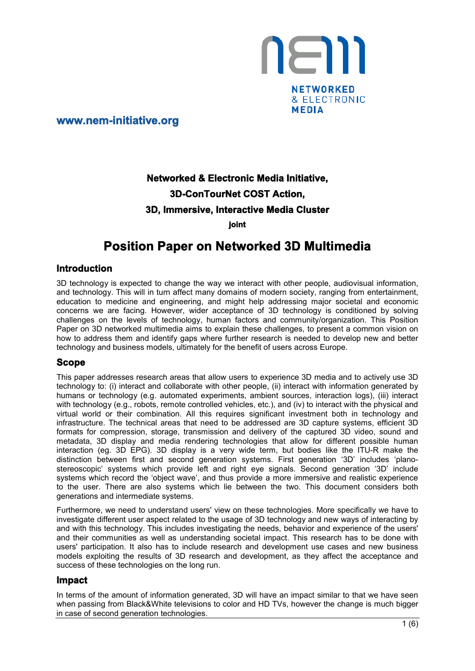

**www.nem-initiative.org**

# **Networked & Electronic Media Initiative, 3D-ConTourNet COST Action, 3D, Immersive, Interactive Media Cluster**

**joint**

## **Position Paper on Networked 3D Multimedia**

## **Introduction**

3D technology is expected to change the way we interact with other people, audiovisual information, and technology. This will in turn affect many domains of modern society, ranging from entertainment, education to medicine and engineering, and might help addressing major societal and economic concerns we are facing. However, wider acceptance of 3D technology is conditioned by solving challenges on the levels of technology, human factors and community/organization. This Position Paper on 3D networked multimedia aims to explain these challenges, to present a common vision on how to address them and identify gaps where further research is needed to develop new and better technology and business models, ultimately for the benefit of users across Europe.

### **Scope**

This paper addresses research areas that allow users to experience 3D media and to actively use 3D technology to: (i) interact and collaborate with other people, (ii) interact with information generated by humans or technology (e.g. automated experiments, ambient sources, interaction logs), (iii) interact with technology (e.g., robots, remote controlled vehicles, etc.), and (iv) to interact with the physical and virtual world or their combination. All this requires significant investment both in technology and infrastructure. The technical areas that need to be addressed are 3D capture systems, efficient 3D formats for compression, storage, transmission and delivery of the captured 3D video, sound and metadata, 3D display and media rendering technologies that allow for different possible human interaction (eg. 3D EPG). 3D display is a very wide term, but bodies like the ITU-R make the distinction between first and second generation systems. First generation '3D' includes 'planostereoscopic' systems which provide left and right eye signals. Second generation '3D' include systems which record the 'object wave', and thus provide a more immersive and realistic experience to the user. There are also systems which lie between the two. This document considers both generations and intermediate systems.

Furthermore, we need to understand users' view on these technologies. More specifically we have to investigate different user aspect related to the usage of 3D technology and new ways of interacting by and with this technology. This includes investigating the needs, behavior and experience of the users' and their communities as well as understanding societal impact. This research has to be done with users' participation. It also has to include research and development use cases and new business models exploiting the results of 3D research and development, as they affect the acceptance and success of these technologies on the long run.

## **Impact**

In terms of the amount of information generated, 3D will have an impact similar to that we have seen when passing from Black&White televisions to color and HD TVs, however the change is much bigger in case of second generation technologies.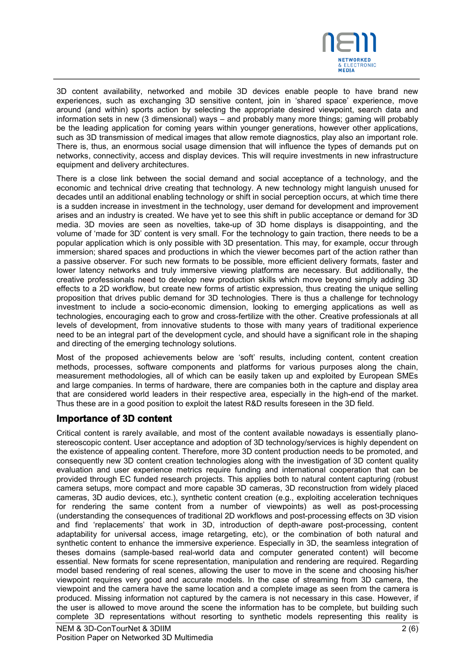

3D content availability, networked and mobile 3D devices enable people to have brand new experiences, such as exchanging 3D sensitive content, join in 'shared space' experience, move around (and within) sports action by selecting the appropriate desired viewpoint, search data and information sets in new (3 dimensional) ways – and probably many more things; gaming will probably be the leading application for coming years within younger generations, however other applications, such as 3D transmission of medical images that allow remote diagnostics, play also an important role. There is, thus, an enormous social usage dimension that will influence the types of demands put on networks, connectivity, access and display devices. This will require investments in new infrastructure equipment and delivery architectures.

There is a close link between the social demand and social acceptance of a technology, and the economic and technical drive creating that technology. A new technology might languish unused for decades until an additional enabling technology or shift in social perception occurs, at which time there is a sudden increase in investment in the technology, user demand for development and improvement arises and an industry is created. We have yet to see this shift in public acceptance or demand for 3D media. 3D movies are seen as novelties, take-up of 3D home displays is disappointing, and the volume of 'made for 3D' content is very small. For the technology to gain traction, there needs to be a popular application which is only possible with 3D presentation. This may, for example, occur through immersion; shared spaces and productions in which the viewer becomes part of the action rather than a passive observer. For such new formats to be possible, more efficient delivery formats, faster and lower latency networks and truly immersive viewing platforms are necessary. But additionally, the creative professionals need to develop new production skills which move beyond simply adding 3D effects to a 2D workflow, but create new forms of artistic expression, thus creating the unique selling proposition that drives public demand for 3D technologies. There is thus a challenge for technology investment to include a socio-economic dimension, looking to emerging applications as well as technologies, encouraging each to grow and cross-fertilize with the other. Creative professionals at all levels of development, from innovative students to those with many years of traditional experience need to be an integral part of the development cycle, and should have a significant role in the shaping and directing of the emerging technology solutions.

Most of the proposed achievements below are 'soft' results, including content, content creation methods, processes, software components and platforms for various purposes along the chain, measurement methodologies, all of which can be easily taken up and exploited by European SMEs and large companies. In terms of hardware, there are companies both in the capture and display area that are considered world leaders in their respective area, especially in the high-end of the market. Thus these are in a good position to exploit the latest R&D results foreseen in the 3D field.

## **Importance of 3D content**

Critical content is rarely available, and most of the content available nowadays is essentially planostereoscopic content. User acceptance and adoption of 3D technology/services is highly dependent on the existence of appealing content. Therefore, more 3D content production needs to be promoted, and consequently new 3D content creation technologies along with the investigation of 3D content quality evaluation and user experience metrics require funding and international cooperation that can be provided through EC funded research projects. This applies both to natural content capturing (robust camera setups, more compact and more capable 3D cameras, 3D reconstruction from widely placed cameras, 3D audio devices, etc.), synthetic content creation (e.g., exploiting acceleration techniques for rendering the same content from a number of viewpoints) as well as post-processing (understanding the consequences of traditional 2D workflows and post-processing effects on 3D vision and find 'replacements' that work in 3D, introduction of depth-aware post-processing, content adaptability for universal access, image retargeting, etc), or the combination of both natural and synthetic content to enhance the immersive experience. Especially in 3D, the seamless integration of theses domains (sample-based real-world data and computer generated content) will become essential. New formats for scene representation, manipulation and rendering are required. Regarding model based rendering of real scenes, allowing the user to move in the scene and choosing his/her viewpoint requires very good and accurate models. In the case of streaming from 3D camera, the viewpoint and the camera have the same location and a complete image as seen from the camera is produced. Missing information not captured by the camera is not necessary in this case. However, if the user is allowed to move around the scene the information has to be complete, but building such complete 3D representations without resorting to synthetic models representing this reality is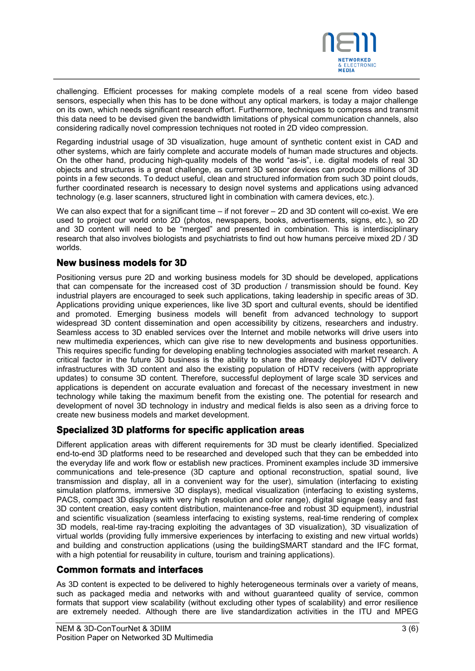

challenging. Efficient processes for making complete models of a real scene from video based sensors, especially when this has to be done without any optical markers, is today a major challenge on its own, which needs significant research effort. Furthermore, techniques to compress and transmit this data need to be devised given the bandwidth limitations of physical communication channels, also considering radically novel compression techniques not rooted in 2D video compression.

Regarding industrial usage of 3D visualization, huge amount of synthetic content exist in CAD and other systems, which are fairly complete and accurate models of human made structures and objects. On the other hand, producing high-quality models of the world "as-is", i.e. digital models of real 3D objects and structures is a great challenge, as current 3D sensor devices can produce millions of 3D points in a few seconds. To deduct useful, clean and structured information from such 3D point clouds, further coordinated research is necessary to design novel systems and applications using advanced technology (e.g. laser scanners, structured light in combination with camera devices, etc.).

We can also expect that for a significant time – if not forever – 2D and 3D content will co-exist. We ere used to project our world onto 2D (photos, newspapers, books, advertisements, signs, etc.), so 2D and 3D content will need to be "merged" and presented in combination. This is interdisciplinary research that also involves biologists and psychiatrists to find out how humans perceive mixed 2D / 3D worlds.

## **New business models for 3D**

Positioning versus pure 2D and working business models for 3D should be developed, applications that can compensate for the increased cost of 3D production / transmission should be found. Key industrial players are encouraged to seek such applications, taking leadership in specific areas of 3D. Applications providing unique experiences, like live 3D sport and cultural events, should be identified and promoted. Emerging business models will benefit from advanced technology to support widespread 3D content dissemination and open accessibility by citizens, researchers and industry. Seamless access to 3D enabled services over the Internet and mobile networks will drive users into new multimedia experiences, which can give rise to new developments and business opportunities. This requires specific funding for developing enabling technologies associated with market research. A critical factor in the future 3D business is the ability to share the already deployed HDTV delivery infrastructures with 3D content and also the existing population of HDTV receivers (with appropriate updates) to consume 3D content. Therefore, successful deployment of large scale 3D services and applications is dependent on accurate evaluation and forecast of the necessary investment in new technology while taking the maximum benefit from the existing one. The potential for research and development of novel 3D technology in industry and medical fields is also seen as a driving force to create new business models and market development.

## **Specialized 3D platforms for specific application areas**

Different application areas with different requirements for 3D must be clearly identified. Specialized end-to-end 3D platforms need to be researched and developed such that they can be embedded into the everyday life and work flow or establish new practices. Prominent examples include 3D immersive communications and tele-presence (3D capture and optional reconstruction, spatial sound, live transmission and display, all in a convenient way for the user), simulation (interfacing to existing simulation platforms, immersive 3D displays), medical visualization (interfacing to existing systems, PACS, compact 3D displays with very high resolution and color range), digital signage (easy and fast 3D content creation, easy content distribution, maintenance-free and robust 3D equipment), industrial and scientific visualization (seamless interfacing to existing systems, real-time rendering of complex 3D models, real-time ray-tracing exploiting the advantages of 3D visualization), 3D visualization of virtual worlds (providing fully immersive experiences by interfacing to existing and new virtual worlds) and building and construction applications (using the buildingSMART standard and the IFC format, with a high potential for reusability in culture, tourism and training applications).

## **Common formats and interfaces**

As 3D content is expected to be delivered to highly heterogeneous terminals over a variety of means, such as packaged media and networks with and without guaranteed quality of service, common formats that support view scalability (without excluding other types of scalability) and error resilience are extremely needed. Although there are live standardization activities in the ITU and MPEG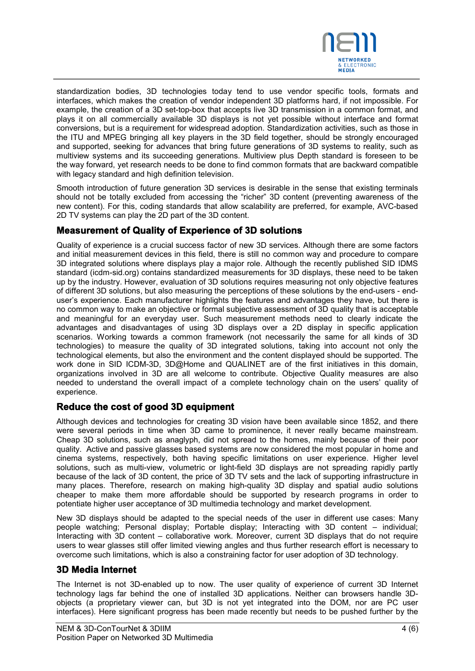

standardization bodies, 3D technologies today tend to use vendor specific tools, formats and interfaces, which makes the creation of vendor independent 3D platforms hard, if not impossible. For example, the creation of a 3D set-top-box that accepts live 3D transmission in a common format, and plays it on all commercially available 3D displays is not yet possible without interface and format conversions, but is a requirement for widespread adoption. Standardization activities, such as those in the ITU and MPEG bringing all key players in the 3D field together, should be strongly encouraged and supported, seeking for advances that bring future generations of 3D systems to reality, such as multiview systems and its succeeding generations. Multiview plus Depth standard is foreseen to be the way forward, yet research needs to be done to find common formats that are backward compatible with legacy standard and high definition television.

Smooth introduction of future generation 3D services is desirable in the sense that existing terminals should not be totally excluded from accessing the "richer" 3D content (preventing awareness of the new content). For this, coding standards that allow scalability are preferred, for example, AVC-based 2D TV systems can play the 2D part of the 3D content.

## **Measurement of Quality of Experience of 3D solutions**

Quality of experience is a crucial success factor of new 3D services. Although there are some factors and initial measurement devices in this field, there is still no common way and procedure to compare 3D integrated solutions where displays play a major role. Although the recently published SID IDMS standard (icdm-sid.org) contains standardized measurements for 3D displays, these need to be taken up by the industry. However, evaluation of 3D solutions requires measuring not only objective features of different 3D solutions, but also measuring the perceptions of these solutions by the end-users - enduser's experience. Each manufacturer highlights the features and advantages they have, but there is no common way to make an objective or formal subjective assessment of 3D quality that is acceptable and meaningful for an everyday user. Such measurement methods need to clearly indicate the advantages and disadvantages of using 3D displays over a 2D display in specific application scenarios. Working towards a common framework (not necessarily the same for all kinds of 3D technologies) to measure the quality of 3D integrated solutions, taking into account not only the technological elements, but also the environment and the content displayed should be supported. The work done in SID ICDM-3D, 3D@Home and QUALINET are of the first initiatives in this domain, organizations involved in 3D are all welcome to contribute. Objective Quality measures are also needed to understand the overall impact of a complete technology chain on the users' quality of experience.

## **Reduce the cost of good 3D equipment**

Although devices and technologies for creating 3D vision have been available since 1852, and there were several periods in time when 3D came to prominence, it never really became mainstream. Cheap 3D solutions, such as anaglyph, did not spread to the homes, mainly because of their poor quality. Active and passive glasses based systems are now considered the most popular in home and cinema systems, respectively, both having specific limitations on user experience. Higher level solutions, such as multi-view, volumetric or light-field 3D displays are not spreading rapidly partly because of the lack of 3D content, the price of 3D TV sets and the lack of supporting infrastructure in many places. Therefore, research on making high-quality 3D display and spatial audio solutions cheaper to make them more affordable should be supported by research programs in order to potentiate higher user acceptance of 3D multimedia technology and market development.

New 3D displays should be adapted to the special needs of the user in different use cases: Many people watching; Personal display; Portable display; Interacting with 3D content – individual; Interacting with 3D content – collaborative work. Moreover, current 3D displays that do not require users to wear glasses still offer limited viewing angles and thus further research effort is necessary to overcome such limitations, which is also a constraining factor for user adoption of 3D technology.

## **3D Media Internet**

The Internet is not 3D-enabled up to now. The user quality of experience of current 3D Internet technology lags far behind the one of installed 3D applications. Neither can browsers handle 3Dobjects (a proprietary viewer can, but 3D is not yet integrated into the DOM, nor are PC user interfaces). Here significant progress has been made recently but needs to be pushed further by the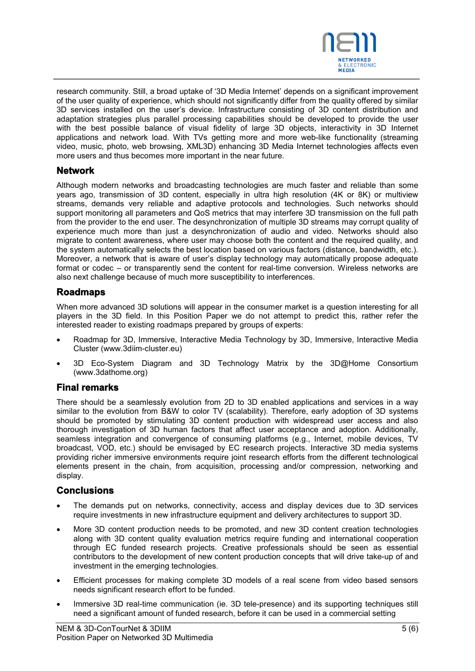

research community. Still, a broad uptake of '3D Media Internet' depends on a significant improvement of the user quality of experience, which should not significantly differ from the quality offered by similar 3D services installed on the user's device. Infrastructure consisting of 3D content distribution and adaptation strategies plus parallel processing capabilities should be developed to provide the user with the best possible balance of visual fidelity of large 3D objects, interactivity in 3D Internet applications and network load. With TVs getting more and more web-like functionality (streaming video, music, photo, web browsing, XML3D) enhancing 3D Media Internet technologies affects even more users and thus becomes more important in the near future.

## **Network**

Although modern networks and broadcasting technologies are much faster and reliable than some years ago, transmission of 3D content, especially in ultra high resolution (4K or 8K) or multiview streams, demands very reliable and adaptive protocols and technologies. Such networks should support monitoring all parameters and QoS metrics that may interfere 3D transmission on the full path from the provider to the end user. The desynchronization of multiple 3D streams may corrupt quality of experience much more than just a desynchronization of audio and video. Networks should also migrate to content awareness, where user may choose both the content and the required quality, and the system automatically selects the best location based on various factors (distance, bandwidth, etc.). Moreover, a network that is aware of user's display technology may automatically propose adequate format or codec – or transparently send the content for real-time conversion. Wireless networks are also next challenge because of much more susceptibility to interferences.

## **Roadmaps**

When more advanced 3D solutions will appear in the consumer market is a question interesting for all players in the 3D field. In this Position Paper we do not attempt to predict this, rather refer the interested reader to existing roadmaps prepared by groups of experts:

- Roadmap for 3D, Immersive, Interactive Media Technology by 3D, Immersive, Interactive Media Cluster (www.3diim-cluster.eu)
- 3D Eco-System Diagram and 3D Technology Matrix by the 3D@Home Consortium (www.3dathome.org)

### **Final remarks**

There should be a seamlessly evolution from 2D to 3D enabled applications and services in a way similar to the evolution from B&W to color TV (scalability). Therefore, early adoption of 3D systems should be promoted by stimulating 3D content production with widespread user access and also thorough investigation of 3D human factors that affect user acceptance and adoption. Additionally, seamless integration and convergence of consuming platforms (e.g., Internet, mobile devices, TV broadcast, VOD, etc.) should be envisaged by EC research projects. Interactive 3D media systems providing richer immersive environments require joint research efforts from the different technological elements present in the chain, from acquisition, processing and/or compression, networking and display.

## **Conclusions**

- The demands put on networks, connectivity, access and display devices due to 3D services require investments in new infrastructure equipment and delivery architectures to support 3D.
- More 3D content production needs to be promoted, and new 3D content creation technologies along with 3D content quality evaluation metrics require funding and international cooperation through EC funded research projects. Creative professionals should be seen as essential contributors to the development of new content production concepts that will drive take-up of and investment in the emerging technologies.
- Efficient processes for making complete 3D models of a real scene from video based sensors needs significant research effort to be funded.
- Immersive 3D real-time communication (ie. 3D tele-presence) and its supporting techniques still need a significant amount of funded research, before it can be used in a commercial setting